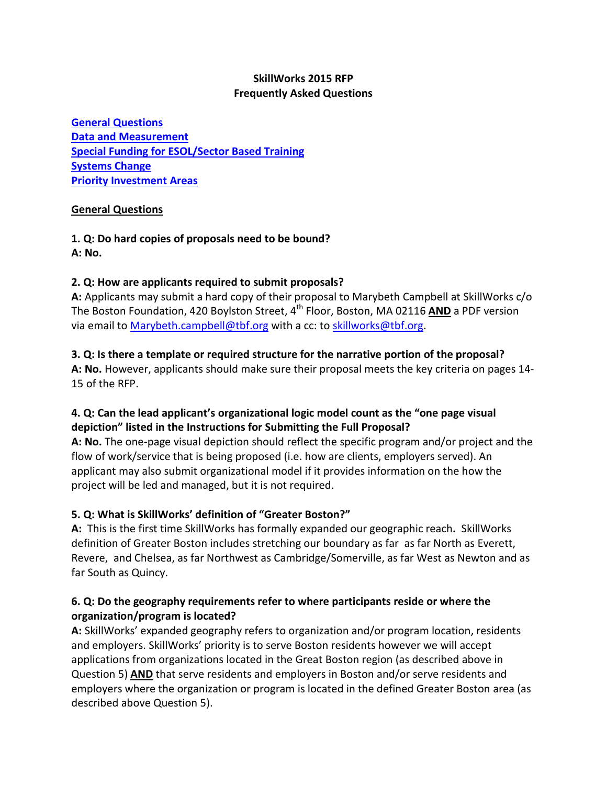### **SkillWorks 2015 RFP Frequently Asked Questions**

**[General Questions](#page-0-0) [Data and Measurement](#page-3-0) [Special Funding for ESOL/Sector Based Training](#page-4-0) [Systems Change](#page-4-1) [Priority Investment Areas](#page-5-0)**

#### <span id="page-0-0"></span>**General Questions**

**1. Q: Do hard copies of proposals need to be bound? A: No.**

#### **2. Q: How are applicants required to submit proposals?**

**A:** Applicants may submit a hard copy of their proposal to Marybeth Campbell at SkillWorks c/o The Boston Foundation, 420 Boylston Street, 4<sup>th</sup> Floor, Boston, MA 02116 AND a PDF version via email to [Marybeth.campbell@tbf.org](mailto:Marybeth.campbell@tbf.org) with a cc: to [skillworks@tbf.org.](mailto:skillworks@tbf.org)

#### **3. Q: Is there a template or required structure for the narrative portion of the proposal?**

**A: No.** However, applicants should make sure their proposal meets the key criteria on pages 14- 15 of the RFP.

# **4. Q: Can the lead applicant's organizational logic model count as the "one page visual depiction" listed in the Instructions for Submitting the Full Proposal?**

**A: No.** The one-page visual depiction should reflect the specific program and/or project and the flow of work/service that is being proposed (i.e. how are clients, employers served). An applicant may also submit organizational model if it provides information on the how the project will be led and managed, but it is not required.

# **5. Q: What is SkillWorks' definition of "Greater Boston?"**

**A:** This is the first time SkillWorks has formally expanded our geographic reach**.** SkillWorks definition of Greater Boston includes stretching our boundary as far as far North as Everett, Revere, and Chelsea, as far Northwest as Cambridge/Somerville, as far West as Newton and as far South as Quincy.

# **6. Q: Do the geography requirements refer to where participants reside or where the organization/program is located?**

**A:** SkillWorks' expanded geography refers to organization and/or program location, residents and employers. SkillWorks' priority is to serve Boston residents however we will accept applications from organizations located in the Great Boston region (as described above in Question 5) **AND** that serve residents and employers in Boston and/or serve residents and employers where the organization or program is located in the defined Greater Boston area (as described above Question 5).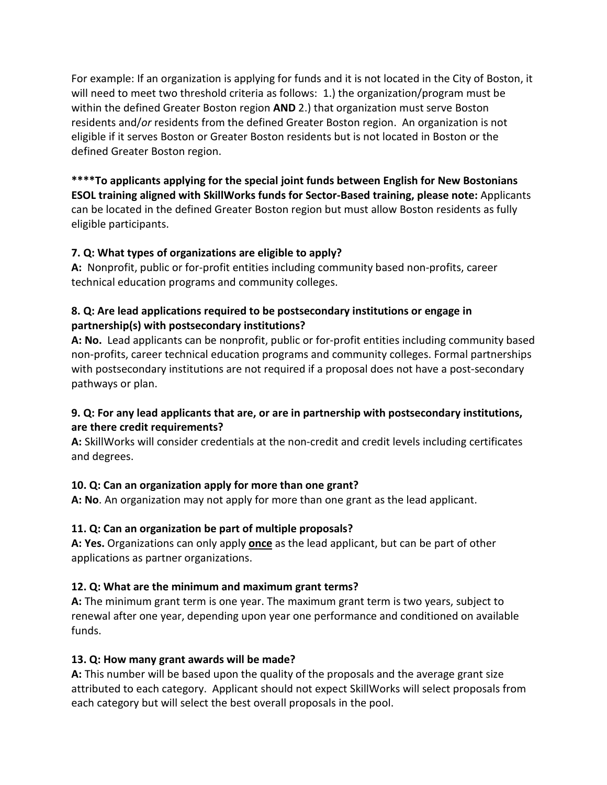For example: If an organization is applying for funds and it is not located in the City of Boston, it will need to meet two threshold criteria as follows: 1.) the organization/program must be within the defined Greater Boston region **AND** 2.) that organization must serve Boston residents and/*or* residents from the defined Greater Boston region. An organization is not eligible if it serves Boston or Greater Boston residents but is not located in Boston or the defined Greater Boston region.

**\*\*\*\*To applicants applying for the special joint funds between English for New Bostonians ESOL training aligned with SkillWorks funds for Sector-Based training, please note:** Applicants can be located in the defined Greater Boston region but must allow Boston residents as fully eligible participants.

# **7. Q: What types of organizations are eligible to apply?**

**A:** Nonprofit, public or for-profit entities including community based non-profits, career technical education programs and community colleges.

#### **8. Q: Are lead applications required to be postsecondary institutions or engage in partnership(s) with postsecondary institutions?**

**A: No.** Lead applicants can be nonprofit, public or for-profit entities including community based non-profits, career technical education programs and community colleges. Formal partnerships with postsecondary institutions are not required if a proposal does not have a post-secondary pathways or plan.

# **9. Q: For any lead applicants that are, or are in partnership with postsecondary institutions, are there credit requirements?**

**A:** SkillWorks will consider credentials at the non-credit and credit levels including certificates and degrees.

# **10. Q: Can an organization apply for more than one grant?**

**A: No**. An organization may not apply for more than one grant as the lead applicant.

# **11. Q: Can an organization be part of multiple proposals?**

**A: Yes.** Organizations can only apply **once** as the lead applicant, but can be part of other applications as partner organizations.

# **12. Q: What are the minimum and maximum grant terms?**

**A:** The minimum grant term is one year. The maximum grant term is two years, subject to renewal after one year, depending upon year one performance and conditioned on available funds.

# **13. Q: How many grant awards will be made?**

**A:** This number will be based upon the quality of the proposals and the average grant size attributed to each category. Applicant should not expect SkillWorks will select proposals from each category but will select the best overall proposals in the pool.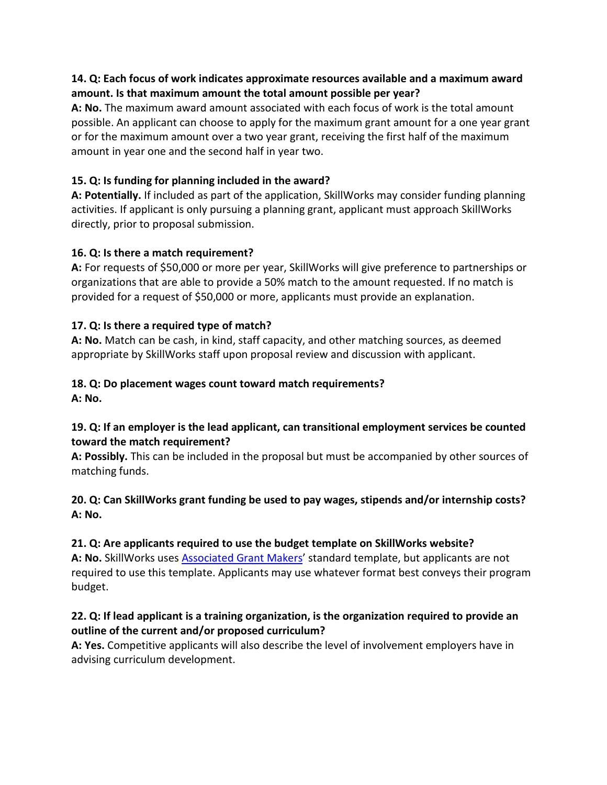### **14. Q: Each focus of work indicates approximate resources available and a maximum award amount. Is that maximum amount the total amount possible per year?**

**A: No.** The maximum award amount associated with each focus of work is the total amount possible. An applicant can choose to apply for the maximum grant amount for a one year grant or for the maximum amount over a two year grant, receiving the first half of the maximum amount in year one and the second half in year two.

# **15. Q: Is funding for planning included in the award?**

**A: Potentially.** If included as part of the application, SkillWorks may consider funding planning activities. If applicant is only pursuing a planning grant, applicant must approach SkillWorks directly, prior to proposal submission.

# **16. Q: Is there a match requirement?**

**A:** For requests of \$50,000 or more per year, SkillWorks will give preference to partnerships or organizations that are able to provide a 50% match to the amount requested. If no match is provided for a request of \$50,000 or more, applicants must provide an explanation.

# **17. Q: Is there a required type of match?**

**A: No.** Match can be cash, in kind, staff capacity, and other matching sources, as deemed appropriate by SkillWorks staff upon proposal review and discussion with applicant.

#### **18. Q: Do placement wages count toward match requirements? A: No.**

# **19. Q: If an employer is the lead applicant, can transitional employment services be counted toward the match requirement?**

**A: Possibly.** This can be included in the proposal but must be accompanied by other sources of matching funds.

# **20. Q: Can SkillWorks grant funding be used to pay wages, stipends and/or internship costs? A: No.**

#### **21. Q: Are applicants required to use the budget template on SkillWorks website?**

**A: No.** SkillWorks uses [Associated Grant Makers'](http://www.agmconnect.org/resources-tools/resource-center-agm/agm-common-proposal-form) standard template, but applicants are not required to use this template. Applicants may use whatever format best conveys their program budget.

# **22. Q: If lead applicant is a training organization, is the organization required to provide an outline of the current and/or proposed curriculum?**

**A: Yes.** Competitive applicants will also describe the level of involvement employers have in advising curriculum development.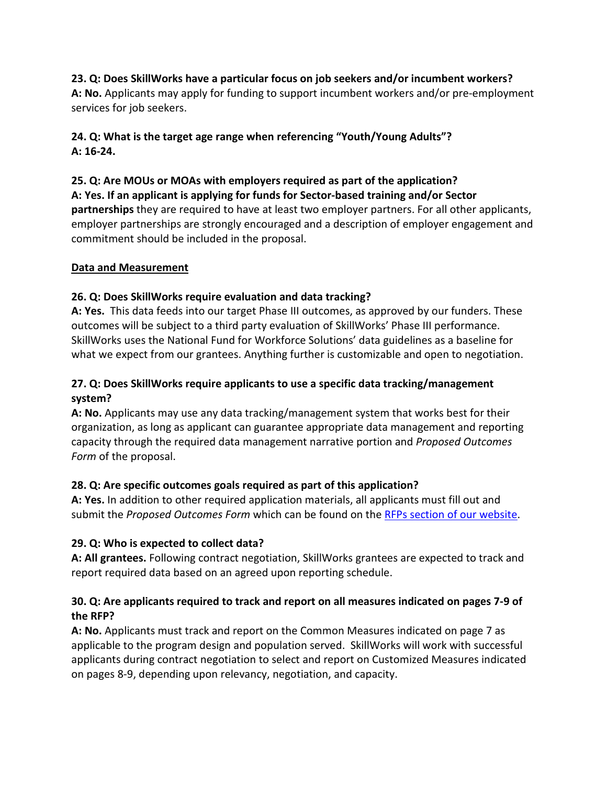#### **23. Q: Does SkillWorks have a particular focus on job seekers and/or incumbent workers?**

**A: No.** Applicants may apply for funding to support incumbent workers and/or pre-employment services for job seekers.

# **24. Q: What is the target age range when referencing "Youth/Young Adults"? A: 16-24.**

# **25. Q: Are MOUs or MOAs with employers required as part of the application?**

#### **A: Yes. If an applicant is applying for funds for Sector-based training and/or Sector**

**partnerships** they are required to have at least two employer partners. For all other applicants, employer partnerships are strongly encouraged and a description of employer engagement and commitment should be included in the proposal.

#### <span id="page-3-0"></span>**Data and Measurement**

# **26. Q: Does SkillWorks require evaluation and data tracking?**

**A: Yes.** This data feeds into our target Phase III outcomes, as approved by our funders. These outcomes will be subject to a third party evaluation of SkillWorks' Phase III performance. SkillWorks uses the National Fund for Workforce Solutions' data guidelines as a baseline for what we expect from our grantees. Anything further is customizable and open to negotiation.

# **27. Q: Does SkillWorks require applicants to use a specific data tracking/management system?**

**A: No.** Applicants may use any data tracking/management system that works best for their organization, as long as applicant can guarantee appropriate data management and reporting capacity through the required data management narrative portion and *Proposed Outcomes Form* of the proposal.

# **28. Q: Are specific outcomes goals required as part of this application?**

**A: Yes.** In addition to other required application materials, all applicants must fill out and submit the *Proposed Outcomes Form* which can be found on the [RFPs section of our website.](mailto:http://www.skill-works.org/resources-rfps.php)

# **29. Q: Who is expected to collect data?**

**A: All grantees.** Following contract negotiation, SkillWorks grantees are expected to track and report required data based on an agreed upon reporting schedule.

# **30. Q: Are applicants required to track and report on all measures indicated on pages 7-9 of the RFP?**

**A: No.** Applicants must track and report on the Common Measures indicated on page 7 as applicable to the program design and population served. SkillWorks will work with successful applicants during contract negotiation to select and report on Customized Measures indicated on pages 8-9, depending upon relevancy, negotiation, and capacity.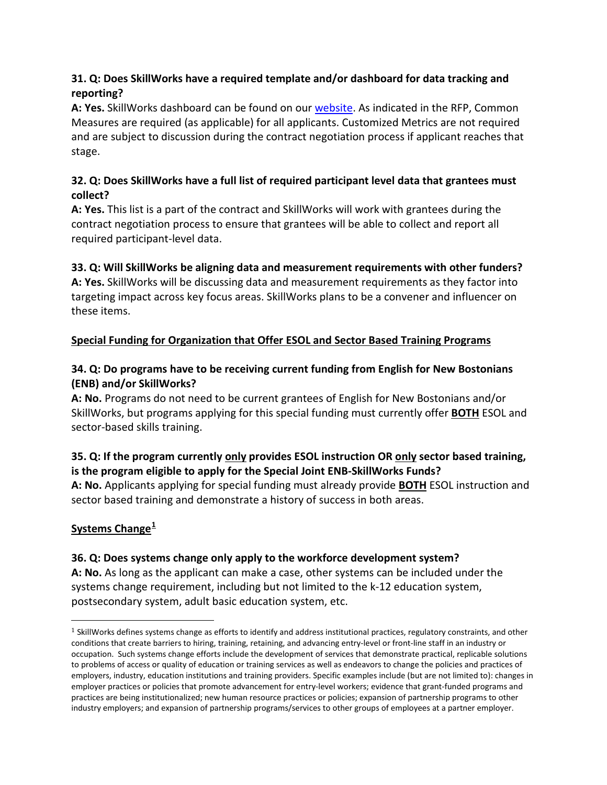# **31. Q: Does SkillWorks have a required template and/or dashboard for data tracking and reporting?**

**A: Yes.** SkillWorks dashboard can be found on our [website.](mailto:http://www.skill-works.org/resources-rfps.php) As indicated in the RFP, Common Measures are required (as applicable) for all applicants. Customized Metrics are not required and are subject to discussion during the contract negotiation process if applicant reaches that stage.

# **32. Q: Does SkillWorks have a full list of required participant level data that grantees must collect?**

**A: Yes.** This list is a part of the contract and SkillWorks will work with grantees during the contract negotiation process to ensure that grantees will be able to collect and report all required participant-level data.

# **33. Q: Will SkillWorks be aligning data and measurement requirements with other funders?**

**A: Yes.** SkillWorks will be discussing data and measurement requirements as they factor into targeting impact across key focus areas. SkillWorks plans to be a convener and influencer on these items.

# <span id="page-4-0"></span>**Special Funding for Organization that Offer ESOL and Sector Based Training Programs**

# **34. Q: Do programs have to be receiving current funding from English for New Bostonians (ENB) and/or SkillWorks?**

**A: No.** Programs do not need to be current grantees of English for New Bostonians and/or SkillWorks, but programs applying for this special funding must currently offer **BOTH** ESOL and sector-based skills training.

# **35. Q: If the program currently only provides ESOL instruction OR only sector based training, is the program eligible to apply for the Special Joint ENB-SkillWorks Funds?**

**A: No.** Applicants applying for special funding must already provide **BOTH** ESOL instruction and sector based training and demonstrate a history of success in both areas.

# <span id="page-4-1"></span>**Systems Change[1](#page-4-2)**

# **36. Q: Does systems change only apply to the workforce development system?**

**A: No.** As long as the applicant can make a case, other systems can be included under the systems change requirement, including but not limited to the k-12 education system, postsecondary system, adult basic education system, etc.

<span id="page-4-2"></span><sup>&</sup>lt;sup>1</sup> SkillWorks defines systems change as efforts to identify and address institutional practices, regulatory constraints, and other conditions that create barriers to hiring, training, retaining, and advancing entry-level or front-line staff in an industry or occupation. Such systems change efforts include the development of services that demonstrate practical, replicable solutions to problems of access or quality of education or training services as well as endeavors to change the policies and practices of employers, industry, education institutions and training providers. Specific examples include (but are not limited to): changes in employer practices or policies that promote advancement for entry-level workers; evidence that grant-funded programs and practices are being institutionalized; new human resource practices or policies; expansion of partnership programs to other industry employers; and expansion of partnership programs/services to other groups of employees at a partner employer. i<br>I